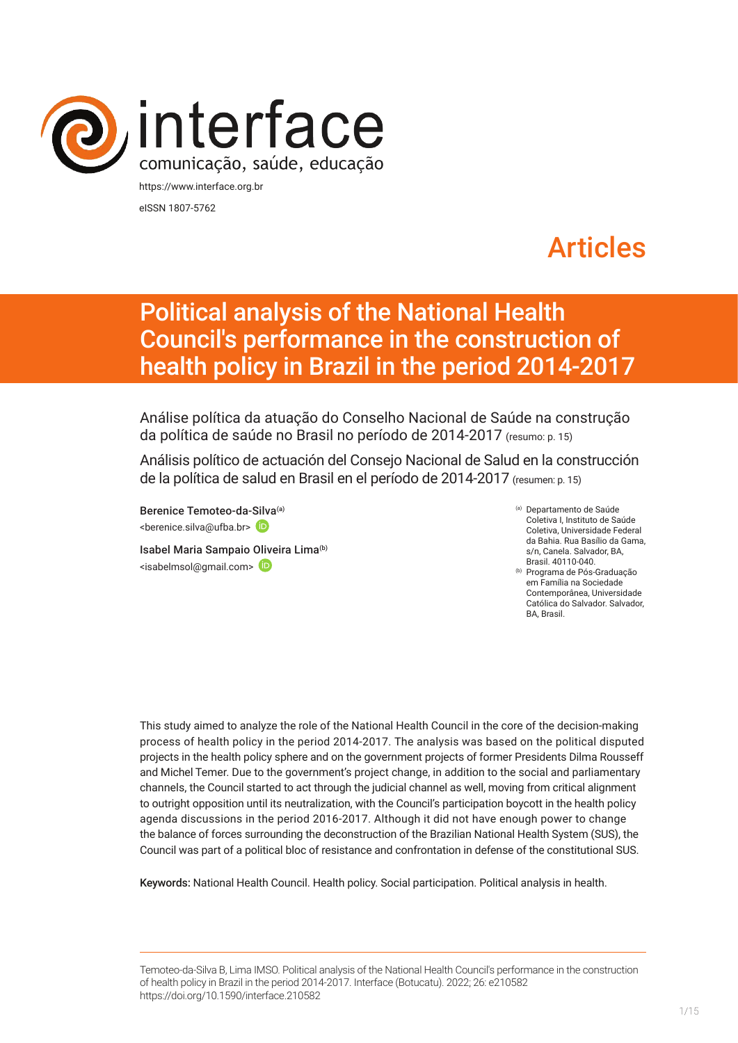

eISSN 1807-5762

# Articles

# Political analysis of the National Health Council's performance in the construction of health policy in Brazil in the period 2014-2017

Análise política da atuação do Conselho Nacional de Saúde na construção da política de saúde no Brasil no período de 2014-2017 (resumo: p. 15)

Análisis político de actuación del Consejo Nacional de Salud en la construcción de la política de salud en Brasil en el período de 2014-2017 (resumen: p. 15)

Berenice Temoteo-da-[Silva](https://orcid.org/0000-0003-0951-3489)(a) <berenice.silva@ufba.br>

Isabel Maria Sampaio [Olive](https://orcid.org/0000-0002-9833-3721)ira Lima<sup>(b)</sup> <isabelmsol@gmail.com>

(a) Departamento de Saúde Coletiva I, Instituto de Saúde Coletiva, Universidade Federal da Bahia. Rua Basílio da Gama, s/n, Canela. Salvador, BA, Brasil. 40110-040.

(b) Programa de Pós-Graduação em Família na Sociedade Contemporânea, Universidade Católica do Salvador. Salvador, BA, Brasil.

This study aimed to analyze the role of the National Health Council in the core of the decision-making process of health policy in the period 2014-2017. The analysis was based on the political disputed projects in the health policy sphere and on the government projects of former Presidents Dilma Rousseff and Michel Temer. Due to the government's project change, in addition to the social and parliamentary channels, the Council started to act through the judicial channel as well, moving from critical alignment to outright opposition until its neutralization, with the Council's participation boycott in the health policy agenda discussions in the period 2016-2017. Although it did not have enough power to change the balance of forces surrounding the deconstruction of the Brazilian National Health System (SUS), the Council was part of a political bloc of resistance and confrontation in defense of the constitutional SUS.

Keywords: National Health Council. Health policy. Social participation. Political analysis in health.

Temoteo-da-Silva B, Lima IMSO. Political analysis of the National Health Council's performance in the construction of health policy in Brazil in the period 2014-2017. Interface (Botucatu). 2022; 26: e210582 [https://](https://10.11606/S1518-787.201805200XXXX)doi.org/10.1590/interface.210582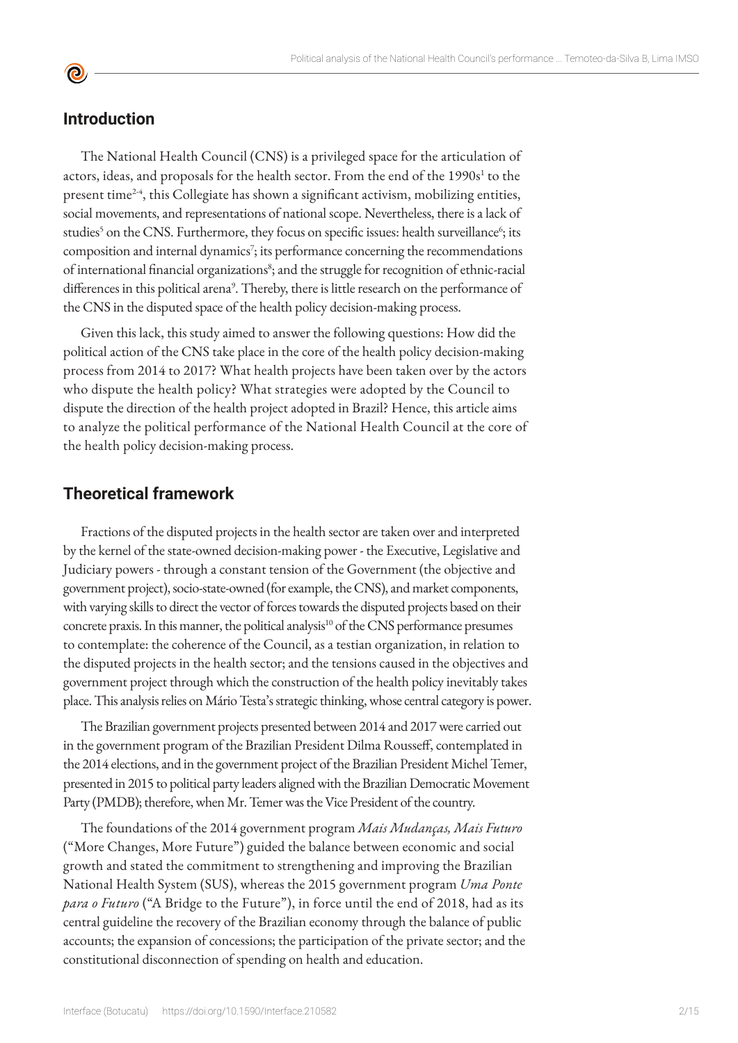#### **Introduction**

 $\bullet$ 

The National Health Council (CNS) is a privileged space for the articulation of actors, ideas, and proposals for the health sector. From the end of the 1990s<sup>1</sup> to the present time2-4, this Collegiate has shown a significant activism, mobilizing entities, social movements, and representations of national scope. Nevertheless, there is a lack of studies<sup>5</sup> on the CNS. Furthermore, they focus on specific issues: health surveillance<sup>6</sup>; its composition and internal dynamics<sup>7</sup>; its performance concerning the recommendations of international financial organizations<sup>8</sup>; and the struggle for recognition of ethnic-racial differences in this political arena<sup>9</sup>. Thereby, there is little research on the performance of the CNS in the disputed space of the health policy decision-making process.

Given this lack, this study aimed to answer the following questions: How did the political action of the CNS take place in the core of the health policy decision-making process from 2014 to 2017? What health projects have been taken over by the actors who dispute the health policy? What strategies were adopted by the Council to dispute the direction of the health project adopted in Brazil? Hence, this article aims to analyze the political performance of the National Health Council at the core of the health policy decision-making process.

#### **Theoretical framework**

Fractions of the disputed projects in the health sector are taken over and interpreted by the kernel of the state-owned decision-making power - the Executive, Legislative and Judiciary powers - through a constant tension of the Government (the objective and government project), socio-state-owned (for example, the CNS), and market components, with varying skills to direct the vector of forces towards the disputed projects based on their concrete praxis. In this manner, the political analysis<sup>10</sup> of the CNS performance presumes to contemplate: the coherence of the Council, as a testian organization, in relation to the disputed projects in the health sector; and the tensions caused in the objectives and government project through which the construction of the health policy inevitably takes place. This analysis relies on Mário Testa's strategic thinking, whose central category is power.

The Brazilian government projects presented between 2014 and 2017 were carried out in the government program of the Brazilian President Dilma Rousseff, contemplated in the 2014 elections, and in the government project of the Brazilian President Michel Temer, presented in 2015 to political party leaders aligned with the Brazilian Democratic Movement Party (PMDB); therefore, when Mr. Temer was the Vice President of the country.

The foundations of the 2014 government program *Mais Mudanças, Mais Futuro*  ("More Changes, More Future") guided the balance between economic and social growth and stated the commitment to strengthening and improving the Brazilian National Health System (SUS), whereas the 2015 government program *Uma Ponte para o Futuro* ("A Bridge to the Future"), in force until the end of 2018, had as its central guideline the recovery of the Brazilian economy through the balance of public accounts; the expansion of concessions; the participation of the private sector; and the constitutional disconnection of spending on health and education.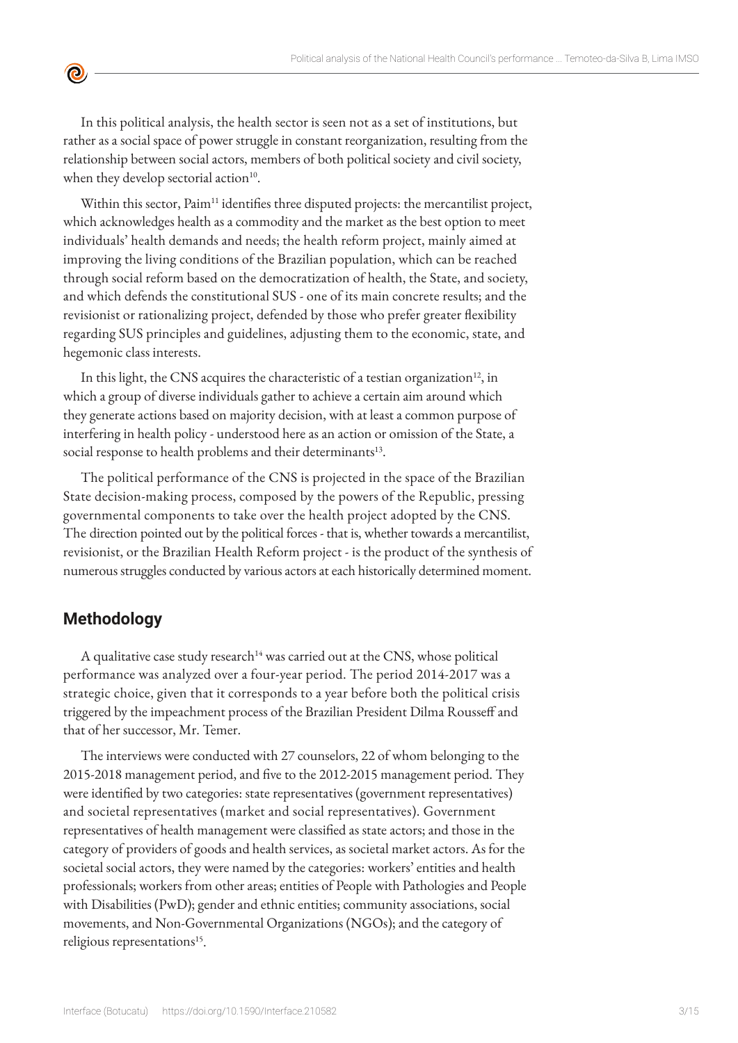

In this political analysis, the health sector is seen not as a set of institutions, but rather as a social space of power struggle in constant reorganization, resulting from the relationship between social actors, members of both political society and civil society, when they develop sectorial action $10$ .

Within this sector, Paim<sup>11</sup> identifies three disputed projects: the mercantilist project, which acknowledges health as a commodity and the market as the best option to meet individuals' health demands and needs; the health reform project, mainly aimed at improving the living conditions of the Brazilian population, which can be reached through social reform based on the democratization of health, the State, and society, and which defends the constitutional SUS - one of its main concrete results; and the revisionist or rationalizing project, defended by those who prefer greater flexibility regarding SUS principles and guidelines, adjusting them to the economic, state, and hegemonic class interests.

In this light, the CNS acquires the characteristic of a testian organization $^{12}$ , in which a group of diverse individuals gather to achieve a certain aim around which they generate actions based on majority decision, with at least a common purpose of interfering in health policy - understood here as an action or omission of the State, a social response to health problems and their determinants<sup>13</sup>.

The political performance of the CNS is projected in the space of the Brazilian State decision-making process, composed by the powers of the Republic, pressing governmental components to take over the health project adopted by the CNS. The direction pointed out by the political forces - that is, whether towards a mercantilist, revisionist, or the Brazilian Health Reform project - is the product of the synthesis of numerous struggles conducted by various actors at each historically determined moment.

# **Methodology**

A qualitative case study research<sup>14</sup> was carried out at the CNS, whose political performance was analyzed over a four-year period. The period 2014-2017 was a strategic choice, given that it corresponds to a year before both the political crisis triggered by the impeachment process of the Brazilian President Dilma Rousseff and that of her successor, Mr. Temer.

The interviews were conducted with 27 counselors, 22 of whom belonging to the 2015-2018 management period, and five to the 2012-2015 management period. They were identified by two categories: state representatives (government representatives) and societal representatives (market and social representatives). Government representatives of health management were classified as state actors; and those in the category of providers of goods and health services, as societal market actors. As for the societal social actors, they were named by the categories: workers' entities and health professionals; workers from other areas; entities of People with Pathologies and People with Disabilities (PwD); gender and ethnic entities; community associations, social movements, and Non-Governmental Organizations (NGOs); and the category of religious representations<sup>15</sup>.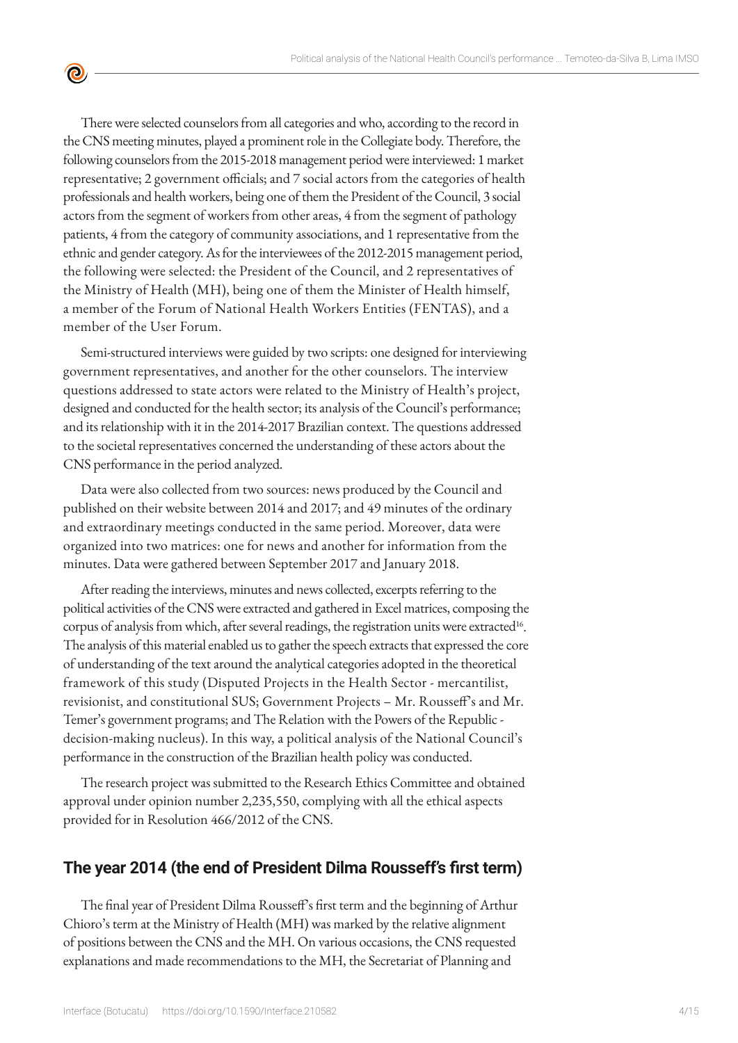There were selected counselors from all categories and who, according to the record in the CNS meeting minutes, played a prominent role in the Collegiate body. Therefore, the following counselors from the 2015-2018 management period were interviewed: 1 market representative; 2 government officials; and 7 social actors from the categories of health professionals and health workers, being one of them the President of the Council, 3 social actors from the segment of workers from other areas, 4 from the segment of pathology patients, 4 from the category of community associations, and 1 representative from the ethnic and gender category. As for the interviewees of the 2012-2015 management period, the following were selected: the President of the Council, and 2 representatives of the Ministry of Health (MH), being one of them the Minister of Health himself, a member of the Forum of National Health Workers Entities (FENTAS), and a member of the User Forum.

 $\bullet$ 

Semi-structured interviews were guided by two scripts: one designed for interviewing government representatives, and another for the other counselors. The interview questions addressed to state actors were related to the Ministry of Health's project, designed and conducted for the health sector; its analysis of the Council's performance; and its relationship with it in the 2014-2017 Brazilian context. The questions addressed to the societal representatives concerned the understanding of these actors about the CNS performance in the period analyzed.

Data were also collected from two sources: news produced by the Council and published on their website between 2014 and 2017; and 49 minutes of the ordinary and extraordinary meetings conducted in the same period. Moreover, data were organized into two matrices: one for news and another for information from the minutes. Data were gathered between September 2017 and January 2018.

After reading the interviews, minutes and news collected, excerpts referring to the political activities of the CNS were extracted and gathered in Excel matrices, composing the corpus of analysis from which, after several readings, the registration units were extracted<sup>16</sup>. The analysis of this material enabled us to gather the speech extracts that expressed the core of understanding of the text around the analytical categories adopted in the theoretical framework of this study (Disputed Projects in the Health Sector - mercantilist, revisionist, and constitutional SUS; Government Projects – Mr. Rousseff's and Mr. Temer's government programs; and The Relation with the Powers of the Republic decision-making nucleus). In this way, a political analysis of the National Council's performance in the construction of the Brazilian health policy was conducted.

The research project was submitted to the Research Ethics Committee and obtained approval under opinion number 2,235,550, complying with all the ethical aspects provided for in Resolution 466/2012 of the CNS.

#### **The year 2014 (the end of President Dilma Rousseff's first term)**

The final year of President Dilma Rousseff's first term and the beginning of Arthur Chioro's term at the Ministry of Health (MH) was marked by the relative alignment of positions between the CNS and the MH. On various occasions, the CNS requested explanations and made recommendations to the MH, the Secretariat of Planning and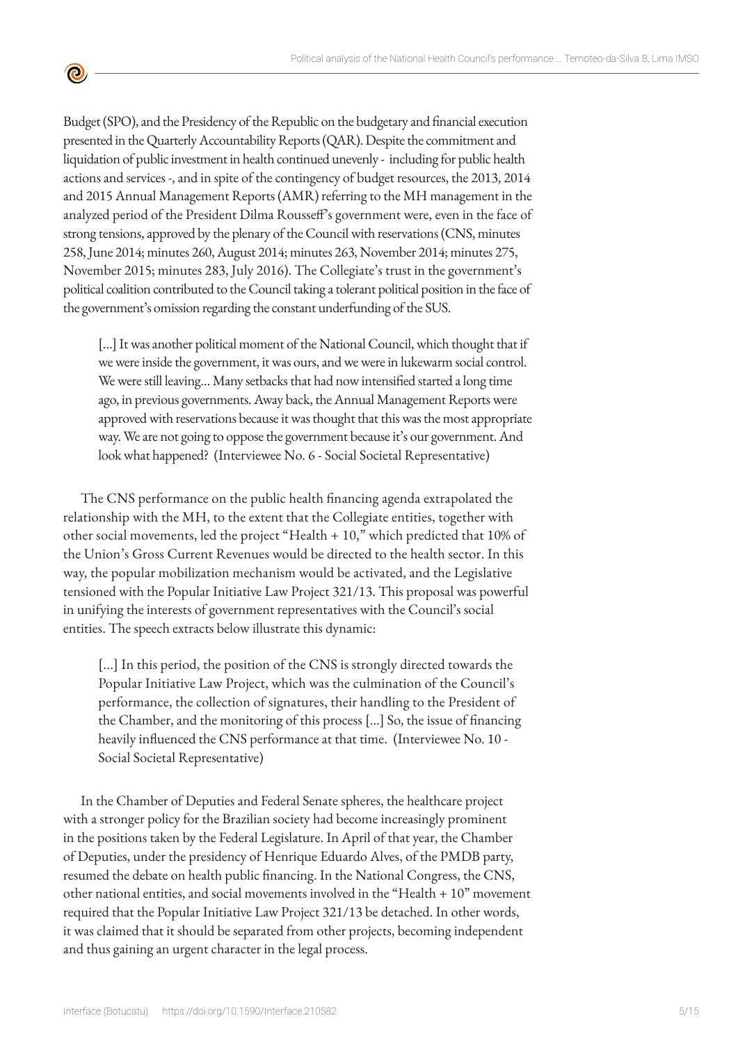Budget (SPO), and the Presidency of the Republic on the budgetary and financial execution presented in the Quarterly Accountability Reports (QAR). Despite the commitment and liquidation of public investment in health continued unevenly - including for public health actions and services -, and in spite of the contingency of budget resources, the 2013, 2014 and 2015 Annual Management Reports (AMR) referring to the MH management in the analyzed period of the President Dilma Rousseff's government were, even in the face of strong tensions, approved by the plenary of the Council with reservations (CNS, minutes 258, June 2014; minutes 260, August 2014; minutes 263, November 2014; minutes 275, November 2015; minutes 283, July 2016). The Collegiate's trust in the government's political coalition contributed to the Council taking a tolerant political position in the face of the government's omission regarding the constant underfunding of the SUS.

 $\bullet$ 

[...] It was another political moment of the National Council, which thought that if we were inside the government, it was ours, and we were in lukewarm social control. We were still leaving… Many setbacks that had now intensified started a long time ago, in previous governments. Away back, the Annual Management Reports were approved with reservations because it was thought that this was the most appropriate way. We are not going to oppose the government because it's our government. And look what happened? (Interviewee No. 6 - Social Societal Representative)

The CNS performance on the public health financing agenda extrapolated the relationship with the MH, to the extent that the Collegiate entities, together with other social movements, led the project "Health + 10," which predicted that 10% of the Union's Gross Current Revenues would be directed to the health sector. In this way, the popular mobilization mechanism would be activated, and the Legislative tensioned with the Popular Initiative Law Project 321/13. This proposal was powerful in unifying the interests of government representatives with the Council's social entities. The speech extracts below illustrate this dynamic:

[...] In this period, the position of the CNS is strongly directed towards the Popular Initiative Law Project, which was the culmination of the Council's performance, the collection of signatures, their handling to the President of the Chamber, and the monitoring of this process […] So, the issue of financing heavily influenced the CNS performance at that time. (Interviewee No. 10 - Social Societal Representative)

In the Chamber of Deputies and Federal Senate spheres, the healthcare project with a stronger policy for the Brazilian society had become increasingly prominent in the positions taken by the Federal Legislature. In April of that year, the Chamber of Deputies, under the presidency of Henrique Eduardo Alves, of the PMDB party, resumed the debate on health public financing. In the National Congress, the CNS, other national entities, and social movements involved in the "Health + 10" movement required that the Popular Initiative Law Project 321/13 be detached. In other words, it was claimed that it should be separated from other projects, becoming independent and thus gaining an urgent character in the legal process.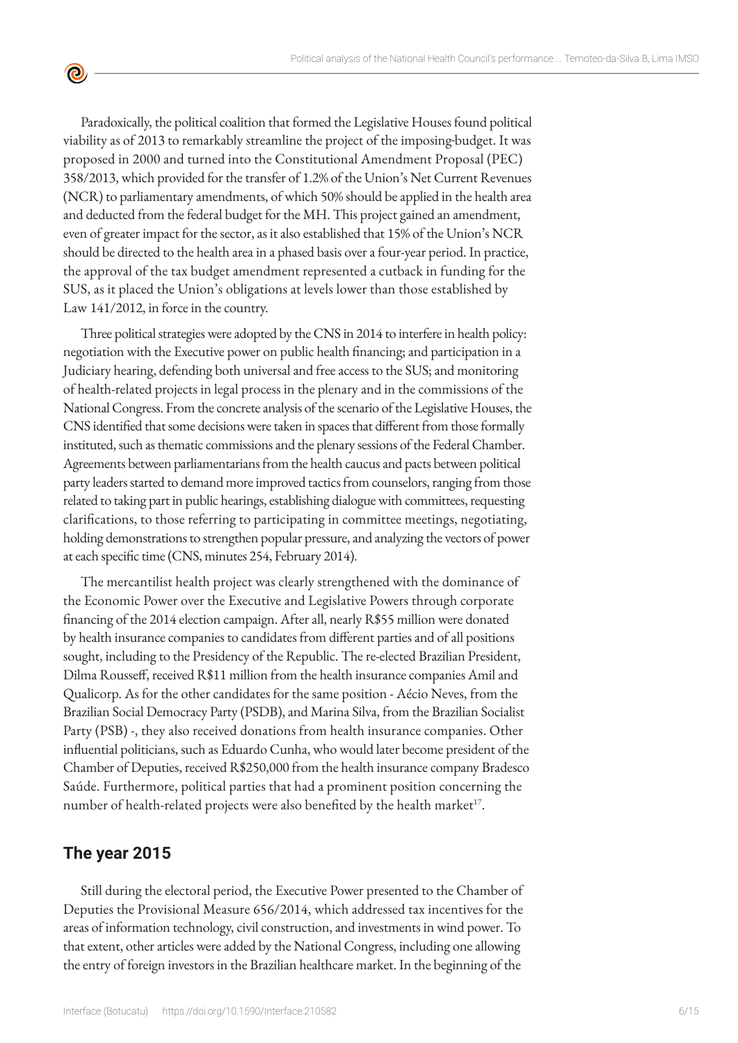Paradoxically, the political coalition that formed the Legislative Houses found political viability as of 2013 to remarkably streamline the project of the imposing budget. It was proposed in 2000 and turned into the Constitutional Amendment Proposal (PEC) 358/2013, which provided for the transfer of 1.2% of the Union's Net Current Revenues (NCR) to parliamentary amendments, of which 50% should be applied in the health area and deducted from the federal budget for the MH. This project gained an amendment, even of greater impact for the sector, as it also established that 15% of the Union's NCR should be directed to the health area in a phased basis over a four-year period. In practice, the approval of the tax budget amendment represented a cutback in funding for the SUS, as it placed the Union's obligations at levels lower than those established by Law 141/2012, in force in the country.

Three political strategies were adopted by the CNS in 2014 to interfere in health policy: negotiation with the Executive power on public health financing; and participation in a Judiciary hearing, defending both universal and free access to the SUS; and monitoring of health-related projects in legal process in the plenary and in the commissions of the National Congress. From the concrete analysis of the scenario of the Legislative Houses, the CNS identified that some decisions were taken in spaces that different from those formally instituted, such as thematic commissions and the plenary sessions of the Federal Chamber. Agreements between parliamentarians from the health caucus and pacts between political party leaders started to demand more improved tactics from counselors, ranging from those related to taking part in public hearings, establishing dialogue with committees, requesting clarifications, to those referring to participating in committee meetings, negotiating, holding demonstrations to strengthen popular pressure, and analyzing the vectors of power at each specific time (CNS, minutes 254, February 2014).

The mercantilist health project was clearly strengthened with the dominance of the Economic Power over the Executive and Legislative Powers through corporate financing of the 2014 election campaign. After all, nearly R\$55 million were donated by health insurance companies to candidates from different parties and of all positions sought, including to the Presidency of the Republic. The re-elected Brazilian President, Dilma Rousseff, received R\$11 million from the health insurance companies Amil and Qualicorp. As for the other candidates for the same position - Aécio Neves, from the Brazilian Social Democracy Party (PSDB), and Marina Silva, from the Brazilian Socialist Party (PSB) -, they also received donations from health insurance companies. Other influential politicians, such as Eduardo Cunha, who would later become president of the Chamber of Deputies, received R\$250,000 from the health insurance company Bradesco Saúde. Furthermore, political parties that had a prominent position concerning the number of health-related projects were also benefited by the health market<sup>17</sup>.

#### **The year 2015**

 $\bullet$ 

Still during the electoral period, the Executive Power presented to the Chamber of Deputies the Provisional Measure 656/2014, which addressed tax incentives for the areas of information technology, civil construction, and investments in wind power. To that extent, other articles were added by the National Congress, including one allowing the entry of foreign investors in the Brazilian healthcare market. In the beginning of the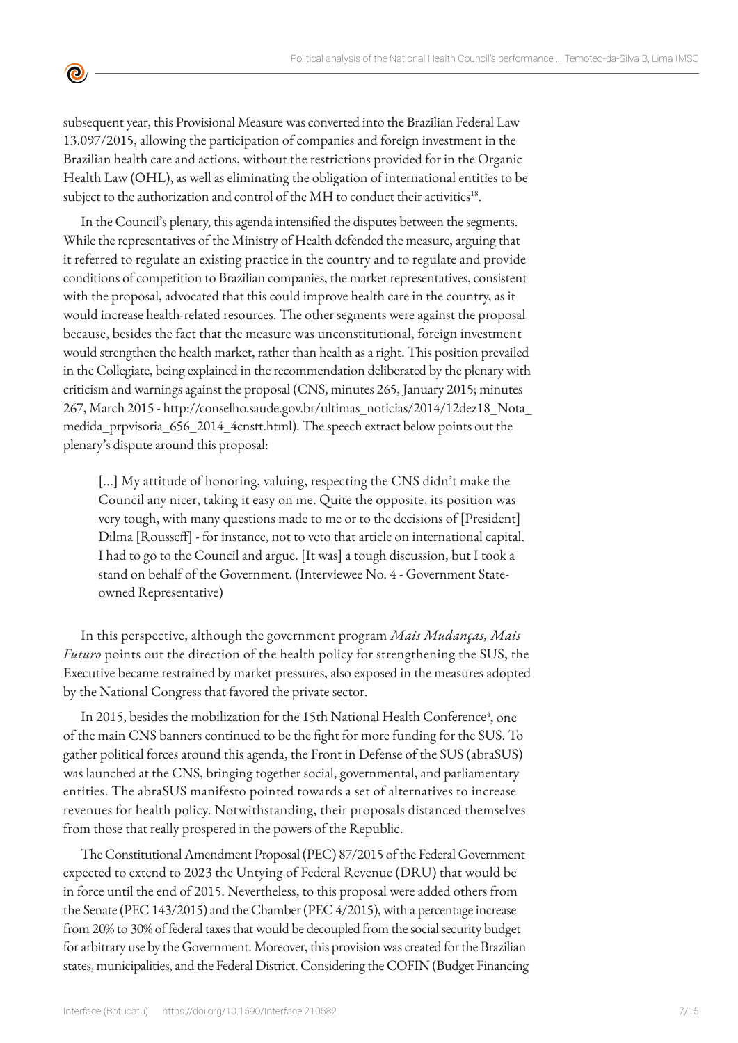subsequent year, this Provisional Measure was converted into the Brazilian Federal Law 13.097/2015, allowing the participation of companies and foreign investment in the Brazilian health care and actions, without the restrictions provided for in the Organic Health Law (OHL), as well as eliminating the obligation of international entities to be subject to the authorization and control of the MH to conduct their activities<sup>18</sup>.

 $\bullet$ 

In the Council's plenary, this agenda intensified the disputes between the segments. While the representatives of the Ministry of Health defended the measure, arguing that it referred to regulate an existing practice in the country and to regulate and provide conditions of competition to Brazilian companies, the market representatives, consistent with the proposal, advocated that this could improve health care in the country, as it would increase health-related resources. The other segments were against the proposal because, besides the fact that the measure was unconstitutional, foreign investment would strengthen the health market, rather than health as a right. This position prevailed in the Collegiate, being explained in the recommendation deliberated by the plenary with criticism and warnings against the proposal (CNS, minutes 265, January 2015; minutes 267, March 2015 - http://conselho.saude.gov.br/ultimas\_noticias/2014/12dez18\_Nota\_ medida\_prpvisoria\_656\_2014\_4cnstt.html). The speech extract below points out the plenary's dispute around this proposal:

[...] My attitude of honoring, valuing, respecting the CNS didn't make the Council any nicer, taking it easy on me. Quite the opposite, its position was very tough, with many questions made to me or to the decisions of [President] Dilma [Rousseff] - for instance, not to veto that article on international capital. I had to go to the Council and argue. [It was] a tough discussion, but I took a stand on behalf of the Government. (Interviewee No. 4 - Government Stateowned Representative)

In this perspective, although the government program *Mais Mudanças, Mais Futuro* points out the direction of the health policy for strengthening the SUS, the Executive became restrained by market pressures, also exposed in the measures adopted by the National Congress that favored the private sector.

In 2015, besides the mobilization for the 15th National Health Conference<sup>4</sup>, one of the main CNS banners continued to be the fight for more funding for the SUS. To gather political forces around this agenda, the Front in Defense of the SUS (abraSUS) was launched at the CNS, bringing together social, governmental, and parliamentary entities. The abraSUS manifesto pointed towards a set of alternatives to increase revenues for health policy. Notwithstanding, their proposals distanced themselves from those that really prospered in the powers of the Republic.

The Constitutional Amendment Proposal (PEC) 87/2015 of the Federal Government expected to extend to 2023 the Untying of Federal Revenue (DRU) that would be in force until the end of 2015. Nevertheless, to this proposal were added others from the Senate (PEC 143/2015) and the Chamber (PEC 4/2015), with a percentage increase from 20% to 30% of federal taxes that would be decoupled from the social security budget for arbitrary use by the Government. Moreover, this provision was created for the Brazilian states, municipalities, and the Federal District. Considering the COFIN (Budget Financing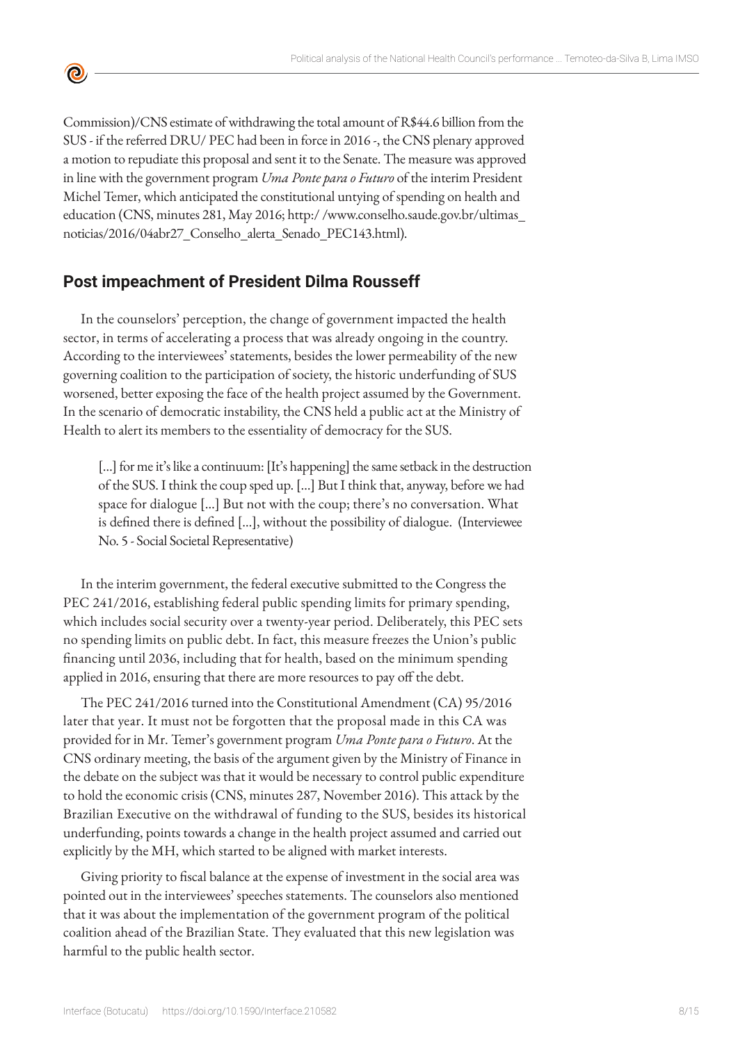Commission)/CNS estimate of withdrawing the total amount of R\$44.6 billion from the SUS - if the referred DRU/ PEC had been in force in 2016 -, the CNS plenary approved a motion to repudiate this proposal and sent it to the Senate. The measure was approved in line with the government program *Uma Ponte para o Futuro* of the interim President Michel Temer, which anticipated the constitutional untying of spending on health and education (CNS, minutes 281, May 2016; http:/ /www.conselho.saude.gov.br/ultimas\_ noticias/2016/04abr27\_Conselho\_alerta\_Senado\_PEC143.html).

# **Post impeachment of President Dilma Rousseff**

 $\bullet$ 

In the counselors' perception, the change of government impacted the health sector, in terms of accelerating a process that was already ongoing in the country. According to the interviewees' statements, besides the lower permeability of the new governing coalition to the participation of society, the historic underfunding of SUS worsened, better exposing the face of the health project assumed by the Government. In the scenario of democratic instability, the CNS held a public act at the Ministry of Health to alert its members to the essentiality of democracy for the SUS.

[...] for me it's like a continuum: [It's happening] the same setback in the destruction of the SUS. I think the coup sped up. […] But I think that, anyway, before we had space for dialogue […] But not with the coup; there's no conversation. What is defined there is defined […], without the possibility of dialogue. (Interviewee No. 5 - Social Societal Representative)

In the interim government, the federal executive submitted to the Congress the PEC 241/2016, establishing federal public spending limits for primary spending, which includes social security over a twenty-year period. Deliberately, this PEC sets no spending limits on public debt. In fact, this measure freezes the Union's public financing until 2036, including that for health, based on the minimum spending applied in 2016, ensuring that there are more resources to pay off the debt.

The PEC 241/2016 turned into the Constitutional Amendment (CA) 95/2016 later that year. It must not be forgotten that the proposal made in this CA was provided for in Mr. Temer's government program *Uma Ponte para o Futuro*. At the CNS ordinary meeting, the basis of the argument given by the Ministry of Finance in the debate on the subject was that it would be necessary to control public expenditure to hold the economic crisis (CNS, minutes 287, November 2016). This attack by the Brazilian Executive on the withdrawal of funding to the SUS, besides its historical underfunding, points towards a change in the health project assumed and carried out explicitly by the MH, which started to be aligned with market interests.

Giving priority to fiscal balance at the expense of investment in the social area was pointed out in the interviewees' speeches statements. The counselors also mentioned that it was about the implementation of the government program of the political coalition ahead of the Brazilian State. They evaluated that this new legislation was harmful to the public health sector.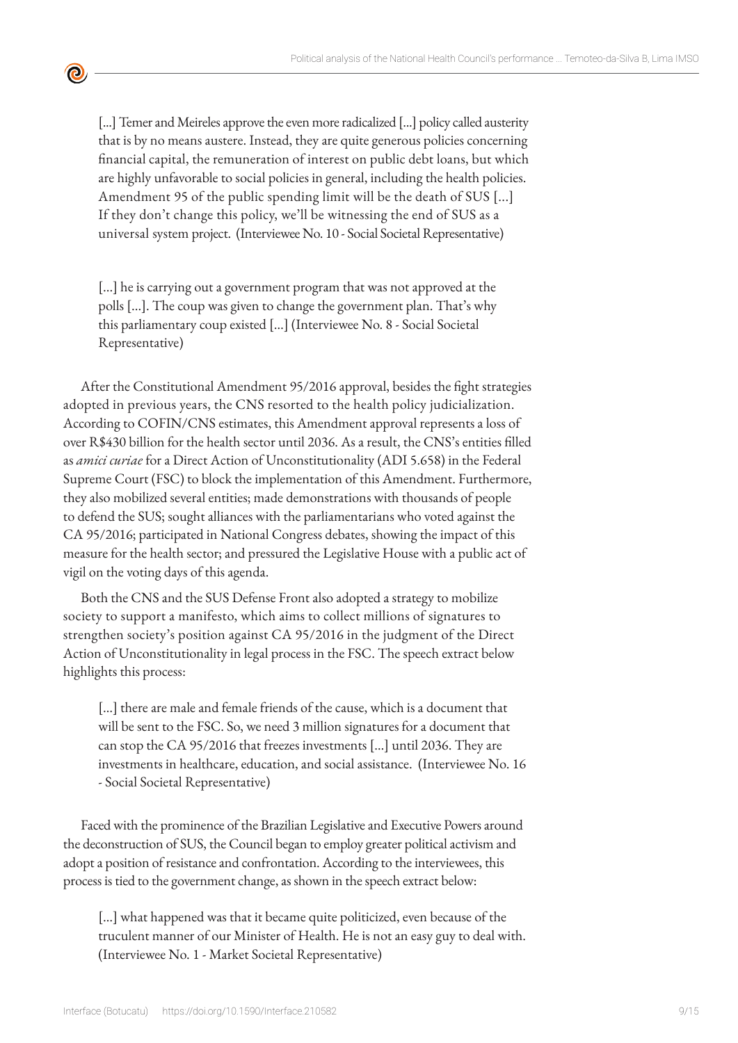[...] Temer and Meireles approve the even more radicalized [...] policy called austerity that is by no means austere. Instead, they are quite generous policies concerning financial capital, the remuneration of interest on public debt loans, but which are highly unfavorable to social policies in general, including the health policies. Amendment 95 of the public spending limit will be the death of SUS [...] If they don't change this policy, we'll be witnessing the end of SUS as a universal system project. (Interviewee No. 10 - Social Societal Representative)

<u>ල</u>

[...] he is carrying out a government program that was not approved at the polls [...]. The coup was given to change the government plan. That's why this parliamentary coup existed […] (Interviewee No. 8 - Social Societal Representative)

After the Constitutional Amendment 95/2016 approval, besides the fight strategies adopted in previous years, the CNS resorted to the health policy judicialization. According to COFIN/CNS estimates, this Amendment approval represents a loss of over R\$430 billion for the health sector until 2036. As a result, the CNS's entities filled as *amici curiae* for a Direct Action of Unconstitutionality (ADI 5.658) in the Federal Supreme Court (FSC) to block the implementation of this Amendment. Furthermore, they also mobilized several entities; made demonstrations with thousands of people to defend the SUS; sought alliances with the parliamentarians who voted against the CA 95/2016; participated in National Congress debates, showing the impact of this measure for the health sector; and pressured the Legislative House with a public act of vigil on the voting days of this agenda.

Both the CNS and the SUS Defense Front also adopted a strategy to mobilize society to support a manifesto, which aims to collect millions of signatures to strengthen society's position against CA 95/2016 in the judgment of the Direct Action of Unconstitutionality in legal process in the FSC. The speech extract below highlights this process:

[...] there are male and female friends of the cause, which is a document that will be sent to the FSC. So, we need 3 million signatures for a document that can stop the CA 95/2016 that freezes investments […] until 2036. They are investments in healthcare, education, and social assistance. (Interviewee No. 16 - Social Societal Representative)

Faced with the prominence of the Brazilian Legislative and Executive Powers around the deconstruction of SUS, the Council began to employ greater political activism and adopt a position of resistance and confrontation. According to the interviewees, this process is tied to the government change, as shown in the speech extract below:

[...] what happened was that it became quite politicized, even because of the truculent manner of our Minister of Health. He is not an easy guy to deal with. (Interviewee No. 1 - Market Societal Representative)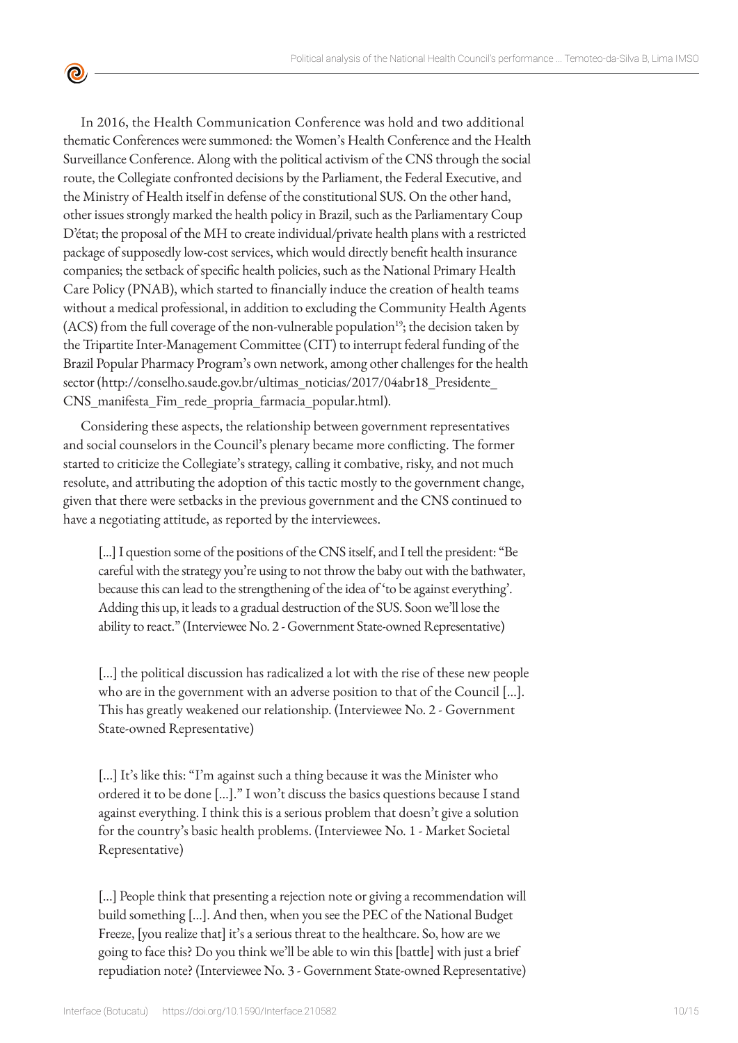In 2016, the Health Communication Conference was hold and two additional thematic Conferences were summoned: the Women's Health Conference and the Health Surveillance Conference. Along with the political activism of the CNS through the social route, the Collegiate confronted decisions by the Parliament, the Federal Executive, and the Ministry of Health itself in defense of the constitutional SUS. On the other hand, other issues strongly marked the health policy in Brazil, such as the Parliamentary Coup D'état; the proposal of the MH to create individual/private health plans with a restricted package of supposedly low-cost services, which would directly benefit health insurance companies; the setback of specific health policies, such as the National Primary Health Care Policy (PNAB), which started to financially induce the creation of health teams without a medical professional, in addition to excluding the Community Health Agents (ACS) from the full coverage of the non-vulnerable population<sup>19</sup>; the decision taken by the Tripartite Inter-Management Committee (CIT) to interrupt federal funding of the Brazil Popular Pharmacy Program's own network, among other challenges for the health sector (http://conselho.saude.gov.br/ultimas\_noticias/2017/04abr18\_Presidente\_ CNS\_manifesta\_Fim\_rede\_propria\_farmacia\_popular.html).

 $\bullet$ 

Considering these aspects, the relationship between government representatives and social counselors in the Council's plenary became more conflicting. The former started to criticize the Collegiate's strategy, calling it combative, risky, and not much resolute, and attributing the adoption of this tactic mostly to the government change, given that there were setbacks in the previous government and the CNS continued to have a negotiating attitude, as reported by the interviewees.

[...] I question some of the positions of the CNS itself, and I tell the president: "Be careful with the strategy you're using to not throw the baby out with the bathwater, because this can lead to the strengthening of the idea of 'to be against everything'. Adding this up, it leads to a gradual destruction of the SUS. Soon we'll lose the ability to react." (Interviewee No. 2 - Government State-owned Representative)

[...] the political discussion has radicalized a lot with the rise of these new people who are in the government with an adverse position to that of the Council […]. This has greatly weakened our relationship. (Interviewee No. 2 - Government State-owned Representative)

[...] It's like this: "I'm against such a thing because it was the Minister who ordered it to be done […]." I won't discuss the basics questions because I stand against everything. I think this is a serious problem that doesn't give a solution for the country's basic health problems. (Interviewee No. 1 - Market Societal Representative)

[...] People think that presenting a rejection note or giving a recommendation will build something […]. And then, when you see the PEC of the National Budget Freeze, [you realize that] it's a serious threat to the healthcare. So, how are we going to face this? Do you think we'll be able to win this [battle] with just a brief repudiation note? (Interviewee No. 3 - Government State-owned Representative)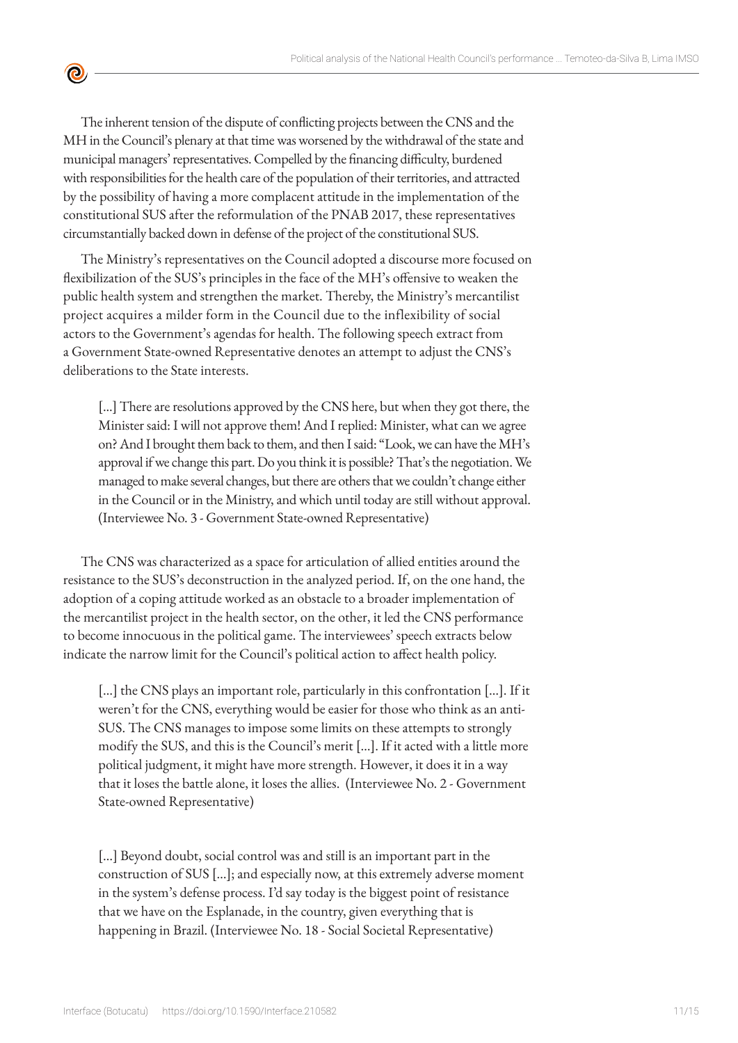The inherent tension of the dispute of conflicting projects between the CNS and the MH in the Council's plenary at that time was worsened by the withdrawal of the state and municipal managers' representatives. Compelled by the financing difficulty, burdened with responsibilities for the health care of the population of their territories, and attracted by the possibility of having a more complacent attitude in the implementation of the constitutional SUS after the reformulation of the PNAB 2017, these representatives circumstantially backed down in defense of the project of the constitutional SUS.

<u>ල</u>

The Ministry's representatives on the Council adopted a discourse more focused on flexibilization of the SUS's principles in the face of the MH's offensive to weaken the public health system and strengthen the market. Thereby, the Ministry's mercantilist project acquires a milder form in the Council due to the inflexibility of social actors to the Government's agendas for health. The following speech extract from a Government State-owned Representative denotes an attempt to adjust the CNS's deliberations to the State interests.

[...] There are resolutions approved by the CNS here, but when they got there, the Minister said: I will not approve them! And I replied: Minister, what can we agree on? And I brought them back to them, and then I said: "Look, we can have the MH's approval if we change this part. Do you think it is possible? That's the negotiation. We managed to make several changes, but there are others that we couldn't change either in the Council or in the Ministry, and which until today are still without approval. (Interviewee No. 3 - Government State-owned Representative)

The CNS was characterized as a space for articulation of allied entities around the resistance to the SUS's deconstruction in the analyzed period. If, on the one hand, the adoption of a coping attitude worked as an obstacle to a broader implementation of the mercantilist project in the health sector, on the other, it led the CNS performance to become innocuous in the political game. The interviewees' speech extracts below indicate the narrow limit for the Council's political action to affect health policy.

[…] the CNS plays an important role, particularly in this confrontation […]. If it weren't for the CNS, everything would be easier for those who think as an anti-SUS. The CNS manages to impose some limits on these attempts to strongly modify the SUS, and this is the Council's merit […]. If it acted with a little more political judgment, it might have more strength. However, it does it in a way that it loses the battle alone, it loses the allies. (Interviewee No. 2 - Government State-owned Representative)

[…] Beyond doubt, social control was and still is an important part in the construction of SUS […]; and especially now, at this extremely adverse moment in the system's defense process. I'd say today is the biggest point of resistance that we have on the Esplanade, in the country, given everything that is happening in Brazil. (Interviewee No. 18 - Social Societal Representative)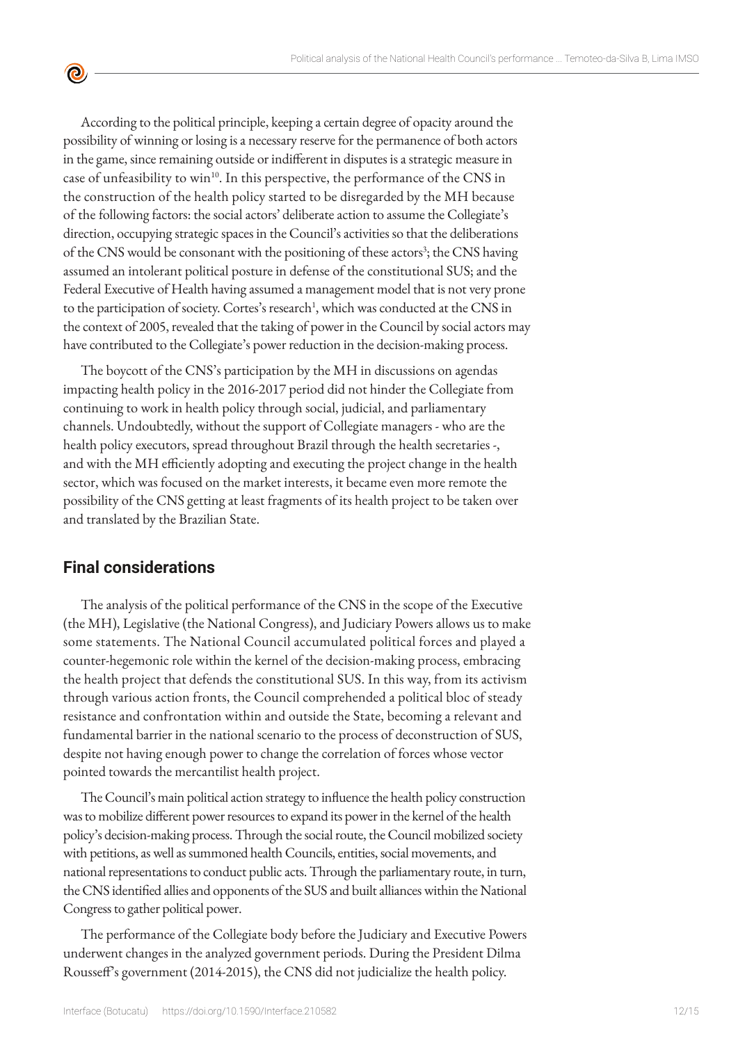According to the political principle, keeping a certain degree of opacity around the possibility of winning or losing is a necessary reserve for the permanence of both actors in the game, since remaining outside or indifferent in disputes is a strategic measure in case of unfeasibility to win<sup>10</sup>. In this perspective, the performance of the CNS in the construction of the health policy started to be disregarded by the MH because of the following factors: the social actors' deliberate action to assume the Collegiate's direction, occupying strategic spaces in the Council's activities so that the deliberations of the CNS would be consonant with the positioning of these actors<sup>3</sup>; the CNS having assumed an intolerant political posture in defense of the constitutional SUS; and the Federal Executive of Health having assumed a management model that is not very prone to the participation of society. Cortes's research<sup>1</sup>, which was conducted at the CNS in the context of 2005, revealed that the taking of power in the Council by social actors may have contributed to the Collegiate's power reduction in the decision-making process.

The boycott of the CNS's participation by the MH in discussions on agendas impacting health policy in the 2016-2017 period did not hinder the Collegiate from continuing to work in health policy through social, judicial, and parliamentary channels. Undoubtedly, without the support of Collegiate managers - who are the health policy executors, spread throughout Brazil through the health secretaries -, and with the MH efficiently adopting and executing the project change in the health sector, which was focused on the market interests, it became even more remote the possibility of the CNS getting at least fragments of its health project to be taken over and translated by the Brazilian State.

#### **Final considerations**

 $\bullet$ 

The analysis of the political performance of the CNS in the scope of the Executive (the MH), Legislative (the National Congress), and Judiciary Powers allows us to make some statements. The National Council accumulated political forces and played a counter-hegemonic role within the kernel of the decision-making process, embracing the health project that defends the constitutional SUS. In this way, from its activism through various action fronts, the Council comprehended a political bloc of steady resistance and confrontation within and outside the State, becoming a relevant and fundamental barrier in the national scenario to the process of deconstruction of SUS, despite not having enough power to change the correlation of forces whose vector pointed towards the mercantilist health project.

The Council's main political action strategy to influence the health policy construction was to mobilize different power resources to expand its power in the kernel of the health policy's decision-making process. Through the social route, the Council mobilized society with petitions, as well as summoned health Councils, entities, social movements, and national representations to conduct public acts. Through the parliamentary route, in turn, the CNS identified allies and opponents of the SUS and built alliances within the National Congress to gather political power.

The performance of the Collegiate body before the Judiciary and Executive Powers underwent changes in the analyzed government periods. During the President Dilma Rousseff's government (2014-2015), the CNS did not judicialize the health policy.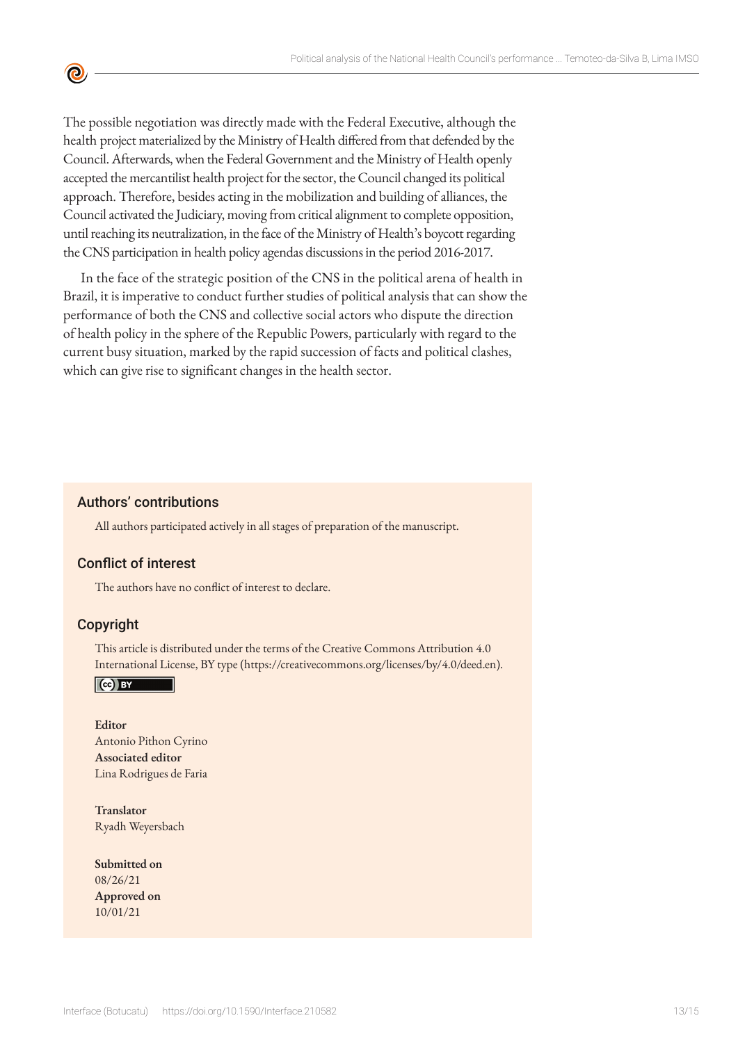The possible negotiation was directly made with the Federal Executive, although the health project materialized by the Ministry of Health differed from that defended by the Council. Afterwards, when the Federal Government and the Ministry of Health openly accepted the mercantilist health project for the sector, the Council changed its political approach. Therefore, besides acting in the mobilization and building of alliances, the Council activated the Judiciary, moving from critical alignment to complete opposition, until reaching its neutralization, in the face of the Ministry of Health's boycott regarding the CNS participation in health policy agendas discussions in the period 2016-2017.

In the face of the strategic position of the CNS in the political arena of health in Brazil, it is imperative to conduct further studies of political analysis that can show the performance of both the CNS and collective social actors who dispute the direction of health policy in the sphere of the Republic Powers, particularly with regard to the current busy situation, marked by the rapid succession of facts and political clashes, which can give rise to significant changes in the health sector.

#### Authors' contributions

All authors participated actively in all stages of preparation of the manuscript.

#### Conflict of interest

The authors have no conflict of interest to declare.

#### Copyright

<u>ල</u>

This article is distributed under the terms of the Creative Commons Attribution 4.0 International License, BY type (https://creativecommons.org/licenses/by/4.0/deed.en).

 $\vert$  (cc) BY

**Editor** Antonio Pithon Cyrino **Associated editor** Lina Rodrigues de Faria

**Translator** Ryadh Weyersbach

**Submitted on** 08/26/21 **Approved on** 10/01/21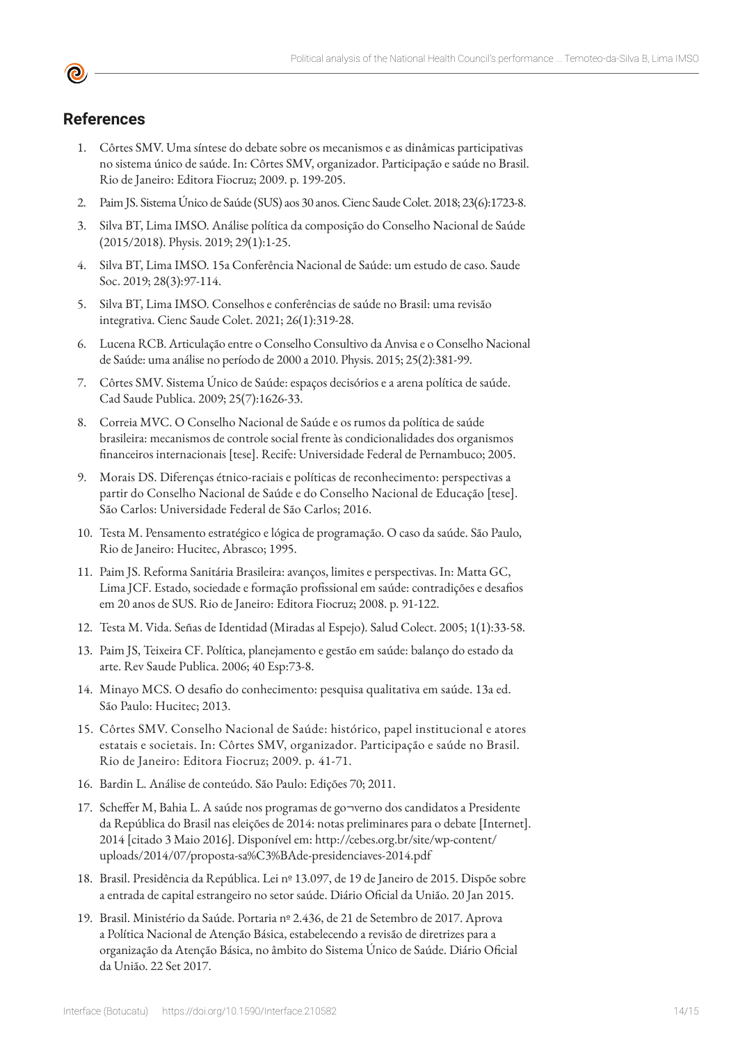### **References**

- 1. Côrtes SMV. Uma síntese do debate sobre os mecanismos e as dinâmicas participativas no sistema único de saúde. In: Côrtes SMV, organizador. Participação e saúde no Brasil. Rio de Janeiro: Editora Fiocruz; 2009. p. 199-205.
- 2. Paim JS. Sistema Único de Saúde (SUS) aos 30 anos. Cienc Saude Colet. 2018; 23(6):1723-8.
- 3. Silva BT, Lima IMSO. Análise política da composição do Conselho Nacional de Saúde (2015/2018). Physis. 2019; 29(1):1-25.
- 4. Silva BT, Lima IMSO. 15a Conferência Nacional de Saúde: um estudo de caso. Saude Soc. 2019; 28(3):97-114.
- 5. Silva BT, Lima IMSO. Conselhos e conferências de saúde no Brasil: uma revisão integrativa. Cienc Saude Colet. 2021; 26(1):319-28.
- 6. Lucena RCB. Articulação entre o Conselho Consultivo da Anvisa e o Conselho Nacional de Saúde: uma análise no período de 2000 a 2010. Physis. 2015; 25(2):381-99.
- 7. Côrtes SMV. Sistema Único de Saúde: espaços decisórios e a arena política de saúde. Cad Saude Publica. 2009; 25(7):1626-33.
- 8. Correia MVC. O Conselho Nacional de Saúde e os rumos da política de saúde brasileira: mecanismos de controle social frente às condicionalidades dos organismos financeiros internacionais [tese]. Recife: Universidade Federal de Pernambuco; 2005.
- 9. Morais DS. Diferenças étnico-raciais e políticas de reconhecimento: perspectivas a partir do Conselho Nacional de Saúde e do Conselho Nacional de Educação [tese]. São Carlos: Universidade Federal de São Carlos; 2016.
- 10. Testa M. Pensamento estratégico e lógica de programação. O caso da saúde. São Paulo, Rio de Janeiro: Hucitec, Abrasco; 1995.
- 11. Paim JS. Reforma Sanitária Brasileira: avanços, limites e perspectivas. In: Matta GC, Lima JCF. Estado, sociedade e formação profissional em saúde: contradições e desafios em 20 anos de SUS. Rio de Janeiro: Editora Fiocruz; 2008. p. 91-122.
- 12. Testa M. Vida. Señas de Identidad (Miradas al Espejo). Salud Colect. 2005; 1(1):33-58.
- 13. Paim JS, Teixeira CF. Política, planejamento e gestão em saúde: balanço do estado da arte. Rev Saude Publica. 2006; 40 Esp:73-8.
- 14. Minayo MCS. O desafio do conhecimento: pesquisa qualitativa em saúde. 13a ed. São Paulo: Hucitec; 2013.
- 15. Côrtes SMV. Conselho Nacional de Saúde: histórico, papel institucional e atores estatais e societais. In: Côrtes SMV, organizador. Participação e saúde no Brasil. Rio de Janeiro: Editora Fiocruz; 2009. p. 41-71.
- 16. Bardin L. Análise de conteúdo. São Paulo: Edições 70; 2011.
- 17. Scheffer M, Bahia L. A saúde nos programas de go¬verno dos candidatos a Presidente da República do Brasil nas eleições de 2014: notas preliminares para o debate [Internet]. 2014 [citado 3 Maio 2016]. Disponível em: http://cebes.org.br/site/wp-content/ uploads/2014/07/proposta-sa%C3%BAde-presidenciaves-2014.pdf
- 18. Brasil. Presidência da República. Lei nº 13.097, de 19 de Janeiro de 2015. Dispõe sobre a entrada de capital estrangeiro no setor saúde. Diário Oficial da União. 20 Jan 2015.
- 19. Brasil. Ministério da Saúde. Portaria nº 2.436, de 21 de Setembro de 2017. Aprova a Política Nacional de Atenção Básica, estabelecendo a revisão de diretrizes para a organização da Atenção Básica, no âmbito do Sistema Único de Saúde. Diário Oficial da União. 22 Set 2017.